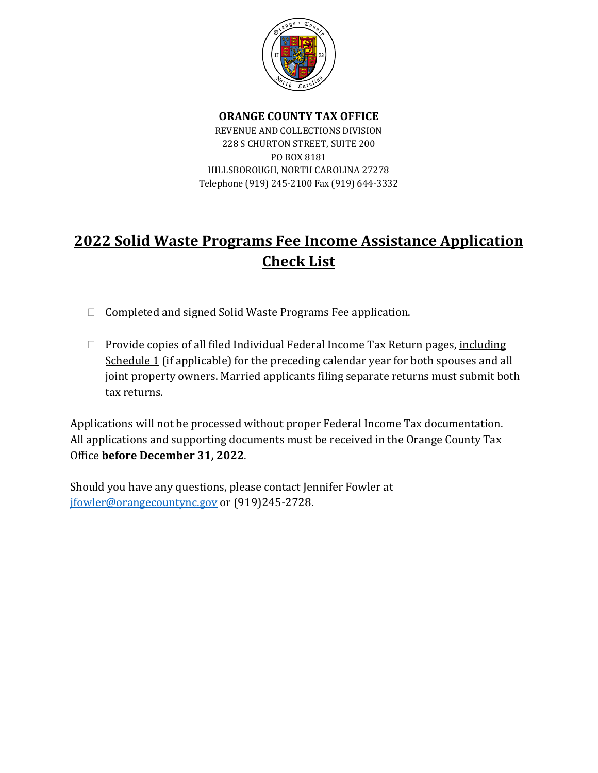

## **ORANGE COUNTY TAX OFFICE** REVENUE AND COLLECTIONS DIVISION 228 S CHURTON STREET, SUITE 200 PO BOX 8181 HILLSBOROUGH, NORTH CAROLINA 27278 Telephone (919) 245-2100 Fax (919) 644-3332

# **2022 Solid Waste Programs Fee Income Assistance Application Check List**

- $\Box$  Completed and signed Solid Waste Programs Fee application.
- □ Provide copies of all filed Individual Federal Income Tax Return pages, including Schedule 1 (if applicable) for the preceding calendar year for both spouses and all joint property owners. Married applicants filing separate returns must submit both tax returns.

Applications will not be processed without proper Federal Income Tax documentation. All applications and supporting documents must be received in the Orange County Tax Office **before December 31, 2022**.

Should you have any questions, please contact Jennifer Fowler at [jfowler@orangecountync.gov](mailto:jfowler@orangecountync.gov) or (919)245-2728.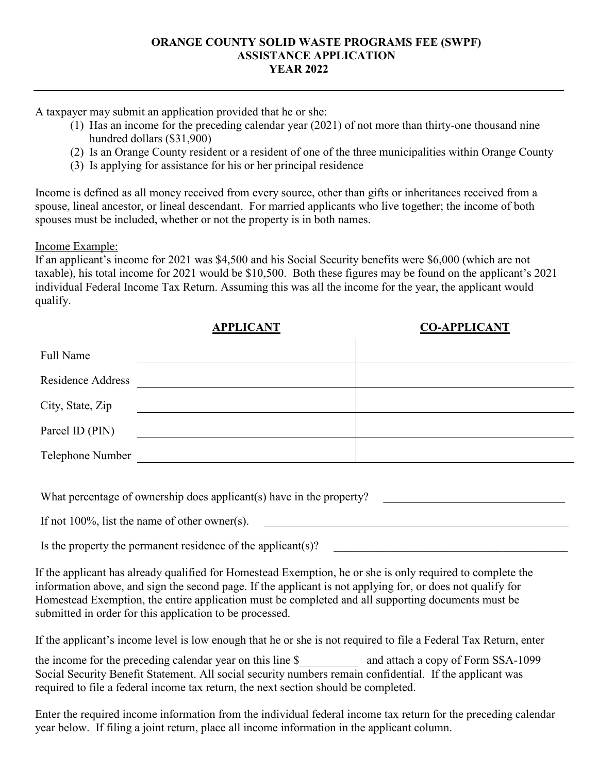### **ORANGE COUNTY SOLID WASTE PROGRAMS FEE (SWPF) ASSISTANCE APPLICATION YEAR 2022**

A taxpayer may submit an application provided that he or she:

- (1) Has an income for the preceding calendar year (2021) of not more than thirty-one thousand nine hundred dollars (\$31,900)
- (2) Is an Orange County resident or a resident of one of the three municipalities within Orange County
- (3) Is applying for assistance for his or her principal residence

Income is defined as all money received from every source, other than gifts or inheritances received from a spouse, lineal ancestor, or lineal descendant. For married applicants who live together; the income of both spouses must be included, whether or not the property is in both names.

Income Example:

If an applicant's income for 2021 was \$4,500 and his Social Security benefits were \$6,000 (which are not taxable), his total income for 2021 would be \$10,500. Both these figures may be found on the applicant's 2021 individual Federal Income Tax Return. Assuming this was all the income for the year, the applicant would qualify.

|                          | <b>APPLICANT</b> | <b>CO-APPLICANT</b> |
|--------------------------|------------------|---------------------|
| <b>Full Name</b>         |                  |                     |
| <b>Residence Address</b> |                  |                     |
| City, State, Zip         |                  |                     |
| Parcel ID (PIN)          |                  |                     |
| Telephone Number         |                  |                     |

What percentage of ownership does applicant(s) have in the property?

If not  $100\%$ , list the name of other owner(s).

Is the property the permanent residence of the applicant(s)?

If the applicant has already qualified for Homestead Exemption, he or she is only required to complete the information above, and sign the second page. If the applicant is not applying for, or does not qualify for Homestead Exemption, the entire application must be completed and all supporting documents must be submitted in order for this application to be processed.

If the applicant's income level is low enough that he or she is not required to file a Federal Tax Return, enter

the income for the preceding calendar year on this line \$ and attach a copy of Form SSA-1099 Social Security Benefit Statement. All social security numbers remain confidential. If the applicant was required to file a federal income tax return, the next section should be completed.

Enter the required income information from the individual federal income tax return for the preceding calendar year below. If filing a joint return, place all income information in the applicant column.